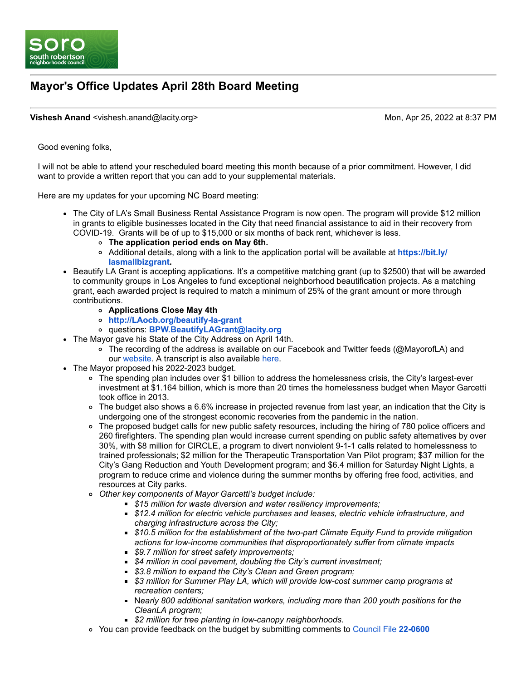

## **Mayor's Office Updates April 28th Board Meeting**

#### **Vishesh Anand** <vishesh.anand@lacity.org> Monetation Apr 25, 2022 at 8:37 PM

Good evening folks,

I will not be able to attend your rescheduled board meeting this month because of a prior commitment. However, I did want to provide a written report that you can add to your supplemental materials.

Here are my updates for your upcoming NC Board meeting:

- The City of LA's Small Business Rental Assistance Program is now open. The program will provide \$12 million in grants to eligible businesses located in the City that need financial assistance to aid in their recovery from COVID-19. Grants will be of up to \$15,000 or six months of back rent, whichever is less.
	- **The application period ends on May 6th.**
	- [Additional details, along with a link to the application portal will be available at](https://bit.ly/lasmallbizgrant) **https://bit.ly/ lasmallbizgrant.**
- Beautify LA Grant is accepting applications. It's a competitive matching grant (up to \$2500) that will be awarded to community groups in Los Angeles to fund exceptional neighborhood beautification projects. As a matching grant, each awarded project is required to match a minimum of 25% of the grant amount or more through contributions.
	- **Applications Close May 4th**
	- **[http://LAocb.org/beautify-la-grant](http://laocb.org/beautify-la-grant)**
	- questions: **[BPW.BeautifyLAGrant@lacity.org](mailto:BPW.BeautifyLAGrant@lacity.org)**
- The Mayor gave his State of the City Address on April 14th.
	- The recording of the address is available on our Facebook and Twitter feeds (@MayorofLA) and our [website](https://www.lamayor.org/SOTC2022). A transcript is also available [here.](https://www.lamayor.org/sites/g/files/wph1781/files/2022-04/State%20of%20the%20City%202022%20final.pdf)
- The Mayor proposed his 2022-2023 budget.
	- The spending plan includes over \$1 billion to address the homelessness crisis, the City's largest-ever investment at \$1.164 billion, which is more than 20 times the homelessness budget when Mayor Garcetti took office in 2013.
	- The budget also shows a 6.6% increase in projected revenue from last year, an indication that the City is undergoing one of the strongest economic recoveries from the pandemic in the nation.
	- o The proposed budget calls for new public safety resources, including the hiring of 780 police officers and 260 firefighters. The spending plan would increase current spending on public safety alternatives by over 30%, with \$8 million for CIRCLE, a program to divert nonviolent 9-1-1 calls related to homelessness to trained professionals; \$2 million for the Therapeutic Transportation Van Pilot program; \$37 million for the City's Gang Reduction and Youth Development program; and \$6.4 million for Saturday Night Lights, a program to reduce crime and violence during the summer months by offering free food, activities, and resources at City parks.
	- *Other key components of Mayor Garcetti's budget include:*
		- *\$15 million for waste diversion and water resiliency improvements;*
		- *\$12.4 million for electric vehicle purchases and leases, electric vehicle infrastructure, and charging infrastructure across the City;*
		- *\$10.5 million for the establishment of the two-part Climate Equity Fund to provide mitigation actions for low-income communities that disproportionately suffer from climate impacts*
		- *\$9.7 million for street safety improvements;*
		- *\$4 million in cool pavement, doubling the City's current investment;*
		- *\$3.8 million to expand the City's Clean and Green program;*
		- *\$3 million for Summer Play LA, which will provide low-cost summer camp programs at recreation centers;*
		- N*early 800 additional sanitation workers, including more than 200 youth positions for the CleanLA program;*
		- *\$2 million for tree planting in low-canopy neighborhoods.*
	- You can provide feedback on the budget by submitting comments to [Council File](https://cityclerk.lacity.org/lacityclerkconnect/index.cfm?fa=ccfi.viewrecord&cfnumber=22-0600) **22-0600**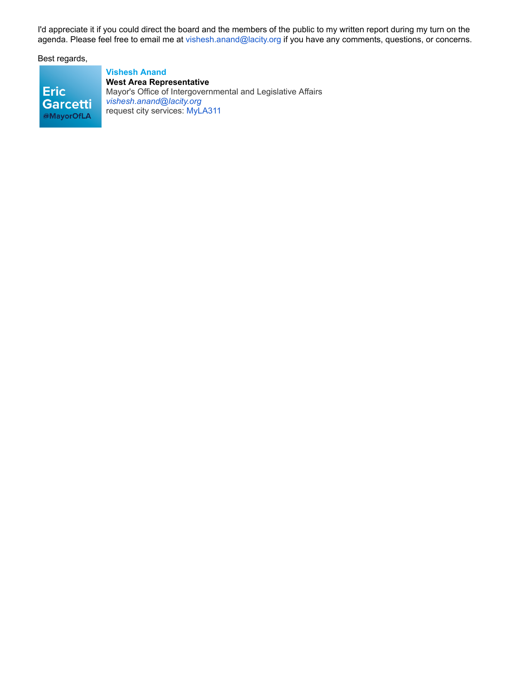I'd appreciate it if you could direct the board and the members of the public to my written report during my turn on the agenda. Please feel free to email me at [vishesh.anand@lacity.org](mailto:vishesh.anand@lacity.org) if you have any comments, questions, or concerns.

Best regards,

**Eric Garcetti** @MayorOfLA

**Vishesh Anand West Area Representative** Mayor's Office of Intergovernmental and Legislative Affairs *[vishesh.anand@lacity.org](mailto:vishesh.anand@lacity.org)* request city services: [MyLA311](https://www.lacity.org/myla311)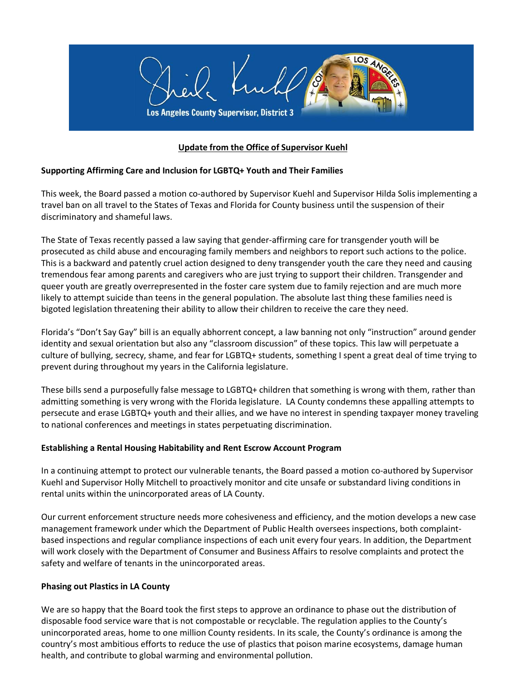

## **Update from the Office of Supervisor Kuehl**

### **Supporting Affirming Care and Inclusion for LGBTQ+ Youth and Their Families**

This week, the Board passed a motion co-authored by Supervisor Kuehl and Supervisor Hilda Solis implementing a travel ban on all travel to the States of Texas and Florida for County business until the suspension of their discriminatory and shameful laws.

The State of Texas recently passed a law saying that gender-affirming care for transgender youth will be prosecuted as child abuse and encouraging family members and neighbors to report such actions to the police. This is a backward and patently cruel action designed to deny transgender youth the care they need and causing tremendous fear among parents and caregivers who are just trying to support their children. Transgender and queer youth are greatly overrepresented in the foster care system due to family rejection and are much more likely to attempt suicide than teens in the general population. The absolute last thing these families need is bigoted legislation threatening their ability to allow their children to receive the care they need.

Florida's "Don't Say Gay" bill is an equally abhorrent concept, a law banning not only "instruction" around gender identity and sexual orientation but also any "classroom discussion" of these topics. This law will perpetuate a culture of bullying, secrecy, shame, and fear for LGBTQ+ students, something I spent a great deal of time trying to prevent during throughout my years in the California legislature.

These bills send a purposefully false message to LGBTQ+ children that something is wrong with them, rather than admitting something is very wrong with the Florida legislature. LA County condemns these appalling attempts to persecute and erase LGBTQ+ youth and their allies, and we have no interest in spending taxpayer money traveling to national conferences and meetings in states perpetuating discrimination.

#### **Establishing a Rental Housing Habitability and Rent Escrow Account Program**

In a continuing attempt to protect our vulnerable tenants, the Board passed a motion co-authored by Supervisor Kuehl and Supervisor Holly Mitchell to proactively monitor and cite unsafe or substandard living conditions in rental units within the unincorporated areas of LA County.

Our current enforcement structure needs more cohesiveness and efficiency, and the motion develops a new case management framework under which the Department of Public Health oversees inspections, both complaintbased inspections and regular compliance inspections of each unit every four years. In addition, the Department will work closely with the Department of Consumer and Business Affairs to resolve complaints and protect the safety and welfare of tenants in the unincorporated areas.

#### **Phasing out Plastics in LA County**

We are so happy that the Board took the first steps to approve an ordinance to phase out the distribution of disposable food service ware that is not compostable or recyclable. The regulation applies to the County's unincorporated areas, home to one million County residents. In its scale, the County's ordinance is among the country's most ambitious efforts to reduce the use of plastics that poison marine ecosystems, damage human health, and contribute to global warming and environmental pollution.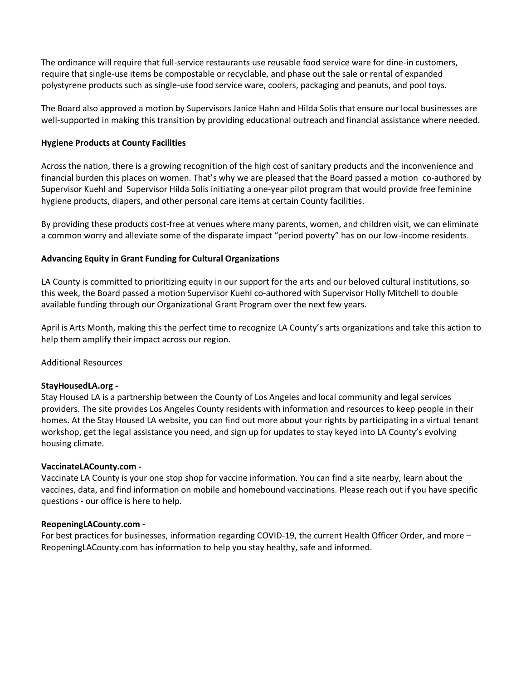The ordinance will require that full-service restaurants use reusable food service ware for dine-in customers, require that single-use items be compostable or recyclable, and phase out the sale or rental of expanded polystyrene products such as single-use food service ware, coolers, packaging and peanuts, and pool toys.

The Board also approved a motion by Supervisors Janice Hahn and Hilda Solis that ensure our local businesses are well-supported in making this transition by providing educational outreach and financial assistance where needed.

#### **Hygiene Products at County Facilities**

Across the nation, there is a growing recognition of the high cost of sanitary products and the inconvenience and financial burden this places on women. That's why we are pleased that the Board passed a motion co-authored by Supervisor Kuehl and Supervisor Hilda Solis initiating a one-year pilot program that would provide free feminine hygiene products, diapers, and other personal care items at certain County facilities.

By providing these products cost-free at venues where many parents, women, and children visit, we can eliminate a common worry and alleviate some of the disparate impact "period poverty" has on our low-income residents.

### **Advancing Equity in Grant Funding for Cultural Organizations**

LA County is committed to prioritizing equity in our support for the arts and our beloved cultural institutions, so this week, the Board passed a motion Supervisor Kuehl co-authored with Supervisor Holly Mitchell to double available funding through our Organizational Grant Program over the next few years.

April is Arts Month, making this the perfect time to recognize LA County's arts organizations and take this action to help them amplify their impact across our region.

#### Additional Resources

#### **StayHousedLA.org -**

Stay Housed LA is a partnership between the County of Los Angeles and local community and legal services providers. The site provides Los Angeles County residents with information and resources to keep people in their homes. At the Stay Housed LA website, you can find out more about your rights by participating in a virtual tenant workshop, get the legal assistance you need, and sign up for updates to stay keyed into LA County's evolving housing climate.

#### **VaccinateLACounty.com -**

Vaccinate LA County is your one stop shop for vaccine information. You can find a site nearby, learn about the vaccines, data, and find information on mobile and homebound vaccinations. Please reach out if you have specific questions - our office is here to help.

#### **ReopeningLACounty.com -**

For best practices for businesses, information regarding COVID-19, the current Health Officer Order, and more – ReopeningLACounty.com has information to help you stay healthy, safe and informed.